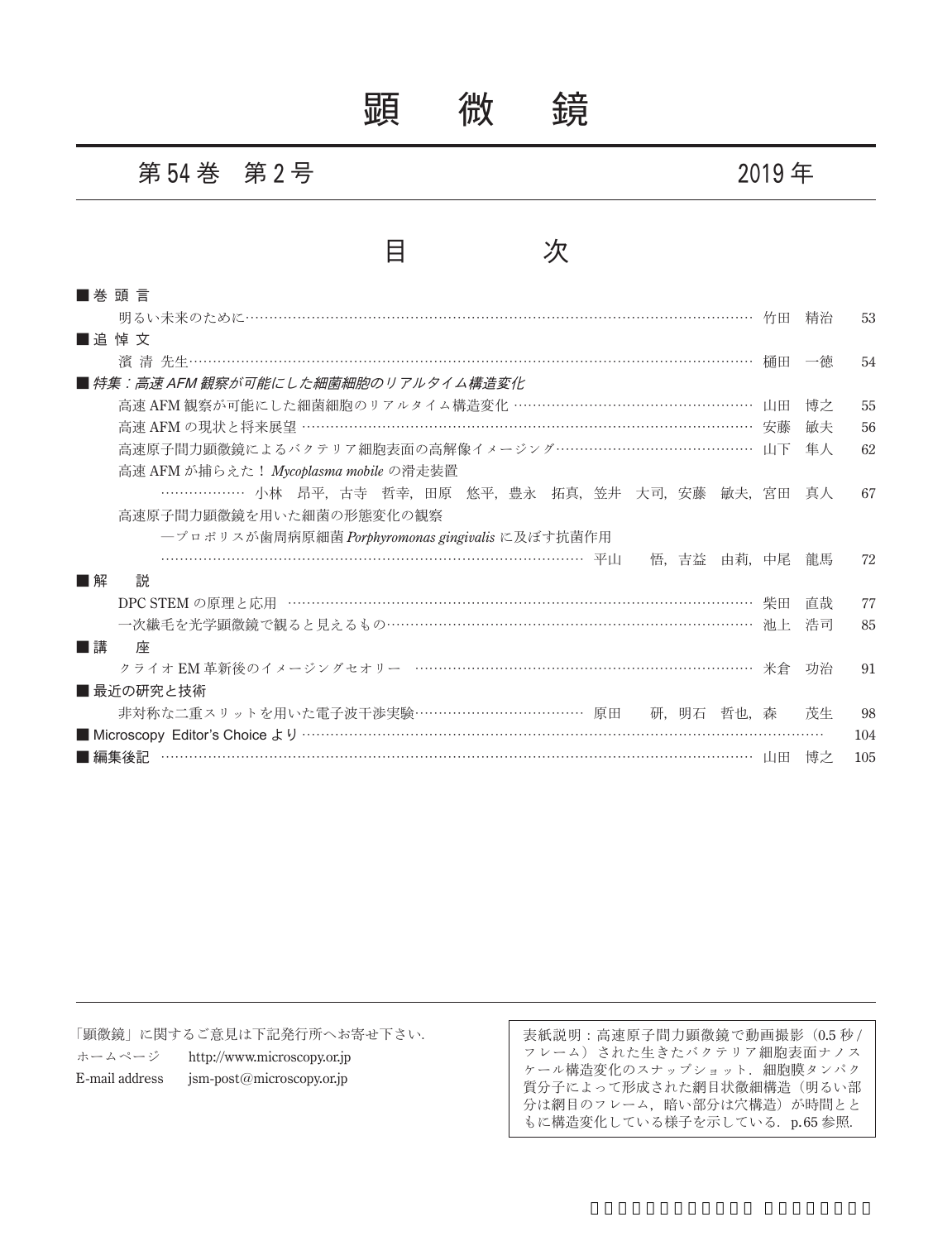顕 微 鏡

### 第 **54** 巻 第 **2** 号 **2019** 年

## 目 次

| ■巻 頭 言                                                                                                                                                                                                                                                                                                                                                                      |    |     |
|-----------------------------------------------------------------------------------------------------------------------------------------------------------------------------------------------------------------------------------------------------------------------------------------------------------------------------------------------------------------------------|----|-----|
|                                                                                                                                                                                                                                                                                                                                                                             | 精治 | 53  |
| ■追悼文                                                                                                                                                                                                                                                                                                                                                                        |    |     |
|                                                                                                                                                                                                                                                                                                                                                                             | 一徳 | 54  |
| ■ 特集:高速 AFM 観察が可能にした細菌細胞のリアルタイム構造変化                                                                                                                                                                                                                                                                                                                                         |    |     |
| 高速 AFM 観察が可能にした細菌細胞のリアルタイム構造変化 …………………………………………… 山田                                                                                                                                                                                                                                                                                                                         | 博之 | 55  |
| 高速 AFM の現状と将来展望 …………………………………………………………………………………… 安藤                                                                                                                                                                                                                                                                                                                         | 敏夫 | 56  |
| 高速原子間力顕微鏡によるバクテリア細胞表面の高解像イメージング…………………………………… 山下                                                                                                                                                                                                                                                                                                                            | 生人 | 62  |
| 高速 AFM が捕らえた! Mycoplasma mobile の滑走装置                                                                                                                                                                                                                                                                                                                                       |    |     |
| ………………… 小林 昂平,古寺 哲幸,田原 悠平,豊永 拓真,笠井 大司,安藤 敏夫,宮田                                                                                                                                                                                                                                                                                                                              | 真人 | 67  |
| 高速原子間力顕微鏡を用いた細菌の形態変化の観察                                                                                                                                                                                                                                                                                                                                                     |    |     |
| ープロポリスが歯周病原細菌 Porphyromonas gingivalis に及ぼす抗菌作用                                                                                                                                                                                                                                                                                                                             |    |     |
| 悟,吉益<br>由莉,中尾                                                                                                                                                                                                                                                                                                                                                               | 龍馬 | 72  |
| 説<br>■解                                                                                                                                                                                                                                                                                                                                                                     |    |     |
| DPC STEM の原理と応用 ……………………………………………………………………………………… 柴田                                                                                                                                                                                                                                                                                                                        | 直哉 | 77  |
| 一次繊毛を光学顕微鏡で観ると見えるもの……………………………………………………………… 池上                                                                                                                                                                                                                                                                                                                              | 浩司 | 85  |
| ■講<br>座                                                                                                                                                                                                                                                                                                                                                                     |    |     |
| クライオ EM 革新後のイメージングセオリー ……………………………………………………………… 米倉                                                                                                                                                                                                                                                                                                                          | 功治 | 91  |
| ■ 最近の研究と技術                                                                                                                                                                                                                                                                                                                                                                  |    |     |
| 非対称な二重スリットを用いた電子波干渉実験………………………………… 原田 研、明石 哲也、森                                                                                                                                                                                                                                                                                                                             | 茂生 | 98  |
|                                                                                                                                                                                                                                                                                                                                                                             |    | 104 |
| $\begin{picture}(100,100)(0,0) \put(0,0){\vector(1,0){100}} \put(10,0){\vector(1,0){100}} \put(10,0){\vector(1,0){100}} \put(10,0){\vector(1,0){100}} \put(10,0){\vector(1,0){100}} \put(10,0){\vector(1,0){100}} \put(10,0){\vector(1,0){100}} \put(10,0){\vector(1,0){100}} \put(10,0){\vector(1,0){100}} \put(10,0){\vector(1,0){100}} \put(10,0){\vector(1,0$<br>■ 編集後記 | 博之 | 105 |

「顕微鏡」に関するご意見は下記発行所へお寄せ下さい.

ホームページ http://www.microscopy.or.jp E-mail address jsm-post@microscopy.or.jp

表紙説明:高速原子間力顕微鏡で動画撮影(0.5 秒 / フレーム)された生きたバクテリア細胞表面ナノス ケール構造変化のスナップショット.細胞膜タンパク 質分子によって形成された網目状微細構造(明るい部 分は網目のフレーム,暗い部分は穴構造)が時間とと もに構造変化している様子を示している. p.65 参照.